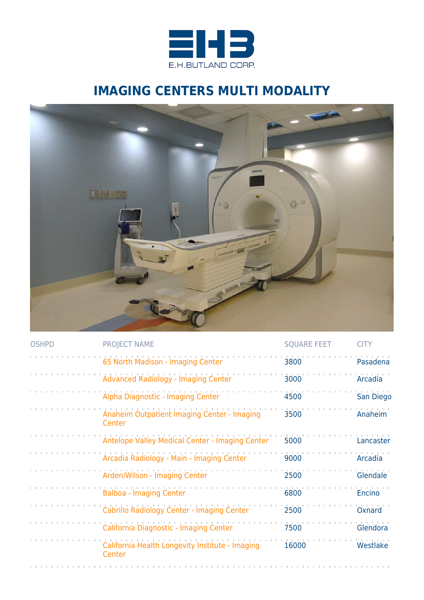

## **IMAGING CENTERS MULTI MODALITY**



| <b>OSHPD</b> | <b>PROJECT NAME</b>                                       | <b>SQUARE FEET</b> | <b>CITY</b> |
|--------------|-----------------------------------------------------------|--------------------|-------------|
|              | 65 North Madison - Imaging Center                         | 3800               | Pasadena    |
|              | <b>Advanced Radiology - Imaging Center</b>                | 3000               | Arcadia     |
|              | Alpha Diagnostic - Imaging Center                         | 4500               | San Diego   |
|              | Anaheim Outpatient Imaging Center - Imaging<br>Center     | 3500               | Anaheim     |
|              | Antelope Valley Medical Center - Imaging Center           | 5000               | Lancaster   |
|              | Arcadia Radiology - Main - Imaging Center                 | 9000               | Arcadia     |
|              | Arden/Wilson - Imaging Center                             | 2500               | Glendale    |
|              | <b>Balboa - Imaging Center</b>                            | 6800               | Encino      |
|              | Cabrillo Radiology Center - Imaging Center                | 2500               | Oxnard      |
|              | California Diagnostic - Imaging Center                    | 7500               | Glendora    |
|              | California Health Longevity Institute - Imaging<br>Center | 16000              | Westlake    |
|              |                                                           |                    |             |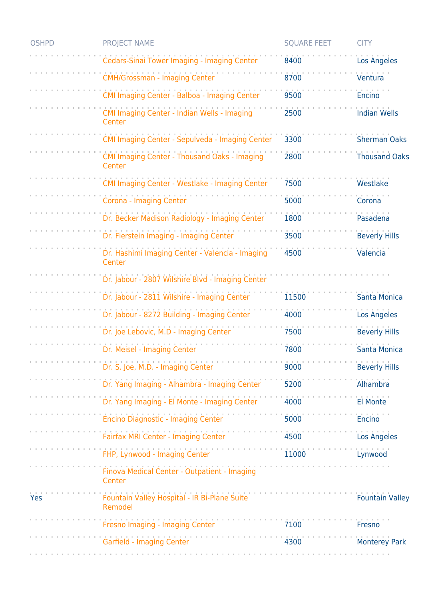| <b>OSHPD</b> | <b>PROJECT NAME</b>                                       | <b>SQUARE FEET</b> | <b>CITY</b>            |
|--------------|-----------------------------------------------------------|--------------------|------------------------|
|              | Cedars-Sinai Tower Imaging - Imaging Center               | 8400               | <b>Los Angeles</b>     |
|              | <b>CMH/Grossman - Imaging Center</b>                      | 8700               | Ventura                |
|              | CMI Imaging Center - Balboa - Imaging Center              | 9500               | <b>Encino</b>          |
|              | CMI Imaging Center - Indian Wells - Imaging<br>Center     | 2500               | <b>Indian Wells</b>    |
|              | CMI Imaging Center - Sepulveda - Imaging Center           | 3300               | <b>Sherman Oaks</b>    |
|              | CMI Imaging Center - Thousand Oaks - Imaging<br>Center    | 2800               | <b>Thousand Oaks</b>   |
|              | CMI Imaging Center - Westlake - Imaging Center            | 7500               | Westlake               |
|              | Corona - Imaging Center                                   | 5000               | Corona                 |
|              | Dr. Becker Madison Radiology - Imaging Center             | 1800               | Pasadena               |
|              | Dr. Fierstein Imaging - Imaging Center                    | 3500               | <b>Beverly Hills</b>   |
|              | Dr. Hashimi Imaging Center - Valencia - Imaging<br>Center | 4500               | Valencia               |
|              | Dr. Jabour - 2807 Wilshire Blvd - Imaging Center          |                    |                        |
|              | Dr. Jabour - 2811 Wilshire - Imaging Center               | 11500              | <b>Santa Monica</b>    |
|              | Dr. Jabour - 8272 Building - Imaging Center               | 4000               | <b>Los Angeles</b>     |
|              | Dr. Joe Lebovic, M.D - Imaging Center                     | 7500               | <b>Beverly Hills</b>   |
|              | Dr. Meisel - Imaging Center                               | 7800               | <b>Santa Monica</b>    |
|              | Dr. S. Joe, M.D. - Imaging Center                         | 9000               | <b>Beverly Hills</b>   |
|              | Dr. Yang Imaging - Alhambra - Imaging Center              | 5200               | Alhambra               |
|              | .<br>Dr. Yang Imaging - El Monte - Imaging Center         | 4000               | <b>El Monte</b>        |
|              | Encino Diagnostic - Imaging Center                        | 5000               | <b>Encino</b>          |
|              | Fairfax MRI Center - Imaging Center                       | 4500               | Los Angeles            |
|              | FHP, Lynwood - Imaging Center                             | 11000              | Lynwood                |
|              | Finova Medical Center - Outpatient - Imaging<br>Center    |                    |                        |
| Yes          | Fountain Valley Hospital - IR Bi-Plane Suite<br>Remodel   |                    | <b>Fountain Valley</b> |
|              | Fresno Imaging - Imaging Center                           | 7100               | Fresno                 |
|              | Garfield - Imaging Center                                 | 4300               | <b>Monterey Park</b>   |
|              |                                                           |                    |                        |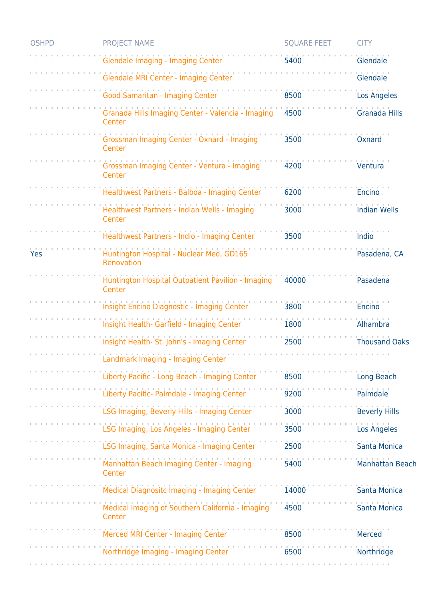| <b>OSHPD</b> | <b>PROJECT NAME</b>                                         | <b>SQUARE FEET</b> | <b>CITY</b>            |
|--------------|-------------------------------------------------------------|--------------------|------------------------|
|              | Glendale Imaging - Imaging Center                           | 5400               | Glendale               |
|              | Glendale MRI Center - Imaging Center                        |                    | Glendale               |
|              | Good Samaritan - Imaging Center                             | 8500               | <b>Los Angeles</b>     |
|              | Granada Hills Imaging Center - Valencia - Imaging<br>Center | 4500               | Granada Hills          |
|              | Grossman Imaging Center - Oxnard - Imaging<br>Center        | 3500               | Oxnard                 |
|              | Grossman Imaging Center - Ventura - Imaging<br>Center       | 4200               | Ventura                |
|              | Healthwest Partners - Balboa - Imaging Center               | 6200               | Encino                 |
|              | Healthwest Partners - Indian Wells - Imaging<br>Center      | 3000               | <b>Indian Wells</b>    |
|              | Healthwest Partners - Indio - Imaging Center                | 3500               | Indio                  |
| Yes          | Huntington Hospital - Nuclear Med, GD165<br>Renovation      |                    | Pasadena, CA           |
|              | Huntington Hospital Outpatient Pavilion - Imaging<br>Center | 40000              | Pasadena               |
|              | <b>Insight Encino Diagnostic - Imaging Center</b>           | 3800               | <b>Encino</b>          |
|              | Insight Health- Garfield - Imaging Center                   | 1800               | Alhambra               |
|              | Insight Health- St. John's - Imaging Center                 | 2500               | <b>Thousand Oaks</b>   |
|              | Landmark Imaging - Imaging Center                           |                    |                        |
|              | Liberty Pacific - Long Beach - Imaging Center               | 8500               | Long Beach             |
|              | Liberty Pacific- Palmdale - Imaging Center                  | 9200               | Palmdale               |
|              | LSG Imaging, Beverly Hills - Imaging Center                 | 3000               | <b>Beverly Hills</b>   |
|              | LSG Imaging, Los Angeles - Imaging Center                   | 3500               | <b>Los Angeles</b>     |
|              | LSG Imaging, Santa Monica - Imaging Center                  | 2500               | <b>Santa Monica</b>    |
|              | Manhattan Beach Imaging Center - Imaging<br>Center          | 5400               | <b>Manhattan Beach</b> |
|              | Medical Diagnositc Imaging - Imaging Center                 | 14000              | <b>Santa Monica</b>    |
|              | Medical Imaging of Southern California - Imaging<br>Center  | 4500               | Santa Monica           |
|              | Merced MRI Center - Imaging Center                          | 8500               | Merced                 |
|              | Northridge Imaging - Imaging Center                         | 6500               | Northridge             |
|              |                                                             |                    |                        |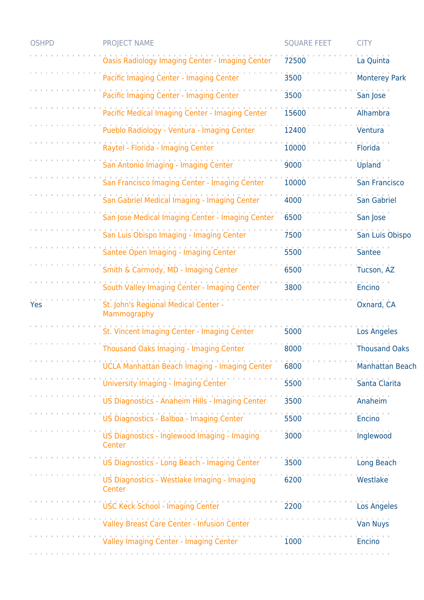| <b>OSHPD</b> | PROJECT NAME                                           | <b>SQUARE FEET</b> | <b>CITY</b>          |
|--------------|--------------------------------------------------------|--------------------|----------------------|
|              | <b>Oasis Radiology Imaging Center - Imaging Center</b> | 72500              | La Quinta            |
|              | Pacific Imaging Center - Imaging Center                | 3500               | <b>Monterey Park</b> |
|              | Pacific Imaging Center - Imaging Center                | 3500               | San Jose             |
|              | Pacific Medical Imaging Center - Imaging Center        | 15600              | Alhambra             |
|              | Pueblo Radiology - Ventura - Imaging Center            | 12400              | Ventura              |
|              | Raytel - Florida - Imaging Center                      | 10000              | Florida              |
|              | San Antonio Imaging - Imaging Center                   | 9000               | Upland               |
|              | San Francisco Imaging Center - Imaging Center          | 10000              | San Francisco        |
|              | San Gabriel Medical Imaging - Imaging Center           | 4000               | San Gabriel          |
|              | San Jose Medical Imaging Center - Imaging Center       | 6500               | San Jose             |
|              | San Luis Obispo Imaging - Imaging Center               | 7500               | San Luis Obispo      |
|              | Santee Open Imaging - Imaging Center                   | 5500               | <b>Santee</b>        |
|              | Smith & Carmody, MD - Imaging Center                   | 6500               | Tucson, AZ           |
|              | South Valley Imaging Center - Imaging Center           | 3800               | <b>Encino</b>        |
|              |                                                        |                    |                      |
| Yes          | St. John's Regional Medical Center -<br>Mammography    |                    | Oxnard, CA           |
|              | St. Vincent Imaging Center - Imaging Center            | 5000               | <b>Los Angeles</b>   |
|              | Thousand Oaks Imaging - Imaging Center                 | 8000               | <b>Thousand Oaks</b> |
|              | UCLA Manhattan Beach Imaging - Imaging Center          | 6800               | Manhattan Beach      |
|              | University Imaging - Imaging Center                    | 5500               | Santa Clarita        |
|              | US Diagnostics - Anaheim Hills - Imaging Center        | 3500               | Anaheim              |
|              | US Diagnostics - Balboa - Imaging Center               | 5500               | Encino               |
|              | US Diagnostics - Inglewood Imaging - Imaging<br>Center | 3000               | Inglewood            |
|              | US Diagnostics - Long Beach - Imaging Center           | 3500               | Long Beach           |
|              | US Diagnostics - Westlake Imaging - Imaging<br>Center  | 6200               | Westlake             |
|              | <b>USC Keck School - Imaging Center</b>                | 2200               | <b>Los Angeles</b>   |
|              | Valley Breast Care Center - Infusion Center            |                    | <b>Van Nuys</b>      |
|              | Valley Imaging Center - Imaging Center                 | 1000               | Encino               |